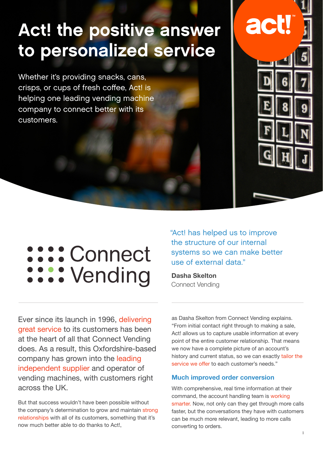## Act! the positive answer to personalized service

Whether it's providing snacks, cans, crisps, or cups of fresh coffee, Act! is helping one leading vending machine company to connect better with its customers.



# sos: Connect .... Vending

"Act! has helped us to improve the structure of our internal systems so we can make better use of external data."

**Dasha Skelton** Connect Vending

Ever since its launch in 1996, delivering great service to its customers has been at the heart of all that Connect Vending does. As a result, this Oxfordshire-based company has grown into the leading independent supplier and operator of vending machines, with customers right across the UK.

But that success wouldn't have been possible without the company's determination to grow and maintain strong relationships with all of its customers, something that it's now much better able to do thanks to Act!,

as Dasha Skelton from Connect Vending explains. "From initial contact right through to making a sale, Act! allows us to capture usable information at every point of the entire customer relationship. That means we now have a complete picture of an account's history and current status, so we can exactly tailor the service we offer to each customer's needs."

#### **Much improved order conversion**

With comprehensive, real time information at their command, the account handling team is working smarter. Now, not only can they get through more calls faster, but the conversations they have with customers can be much more relevant, leading to more calls converting to orders.